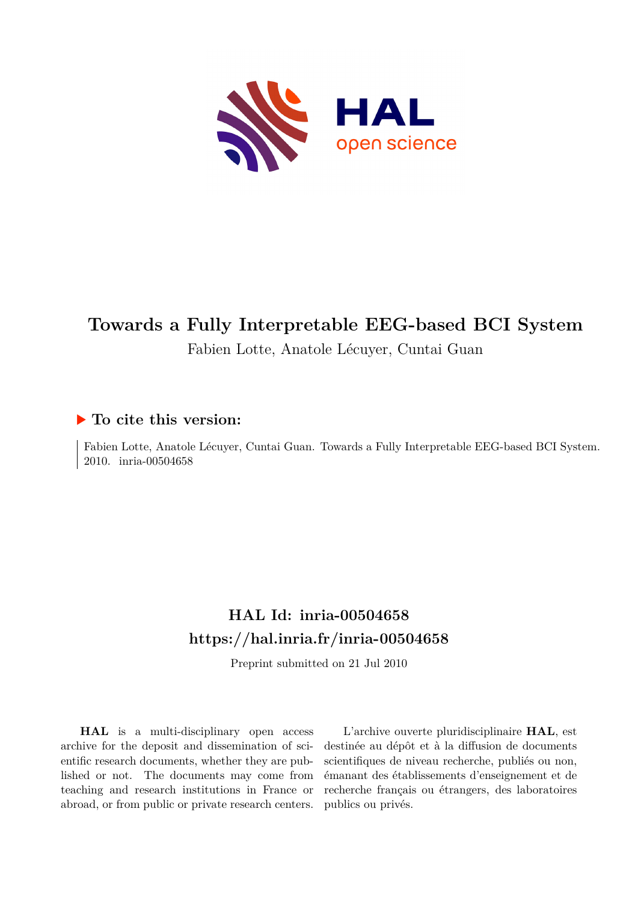

# **Towards a Fully Interpretable EEG-based BCI System** Fabien Lotte, Anatole Lécuyer, Cuntai Guan

# **To cite this version:**

Fabien Lotte, Anatole Lécuyer, Cuntai Guan. Towards a Fully Interpretable EEG-based BCI System. 2010. inria-00504658

# **HAL Id: inria-00504658 <https://hal.inria.fr/inria-00504658>**

Preprint submitted on 21 Jul 2010

**HAL** is a multi-disciplinary open access archive for the deposit and dissemination of scientific research documents, whether they are published or not. The documents may come from teaching and research institutions in France or abroad, or from public or private research centers.

L'archive ouverte pluridisciplinaire **HAL**, est destinée au dépôt et à la diffusion de documents scientifiques de niveau recherche, publiés ou non, émanant des établissements d'enseignement et de recherche français ou étrangers, des laboratoires publics ou privés.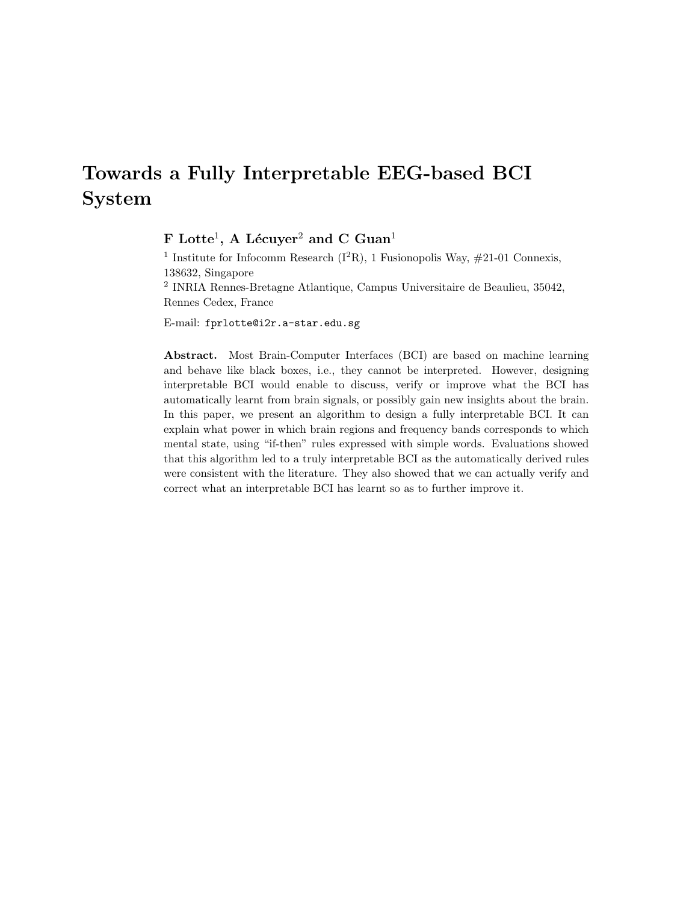# Towards a Fully Interpretable EEG-based BCI System

 ${\rm F\; Lotte^1, \; A\; Lécuyer^2}$  and  ${\rm C\; Guan^1}$ 

<sup>1</sup> Institute for Infocomm Research ( $I^2R$ ), 1 Fusionopolis Way,  $\#21-01$  Connexis, 138632, Singapore 2 INRIA Rennes-Bretagne Atlantique, Campus Universitaire de Beaulieu, 35042, Rennes Cedex, France

E-mail: fprlotte@i2r.a-star.edu.sg

Abstract. Most Brain-Computer Interfaces (BCI) are based on machine learning and behave like black boxes, i.e., they cannot be interpreted. However, designing interpretable BCI would enable to discuss, verify or improve what the BCI has automatically learnt from brain signals, or possibly gain new insights about the brain. In this paper, we present an algorithm to design a fully interpretable BCI. It can explain what power in which brain regions and frequency bands corresponds to which mental state, using "if-then" rules expressed with simple words. Evaluations showed that this algorithm led to a truly interpretable BCI as the automatically derived rules were consistent with the literature. They also showed that we can actually verify and correct what an interpretable BCI has learnt so as to further improve it.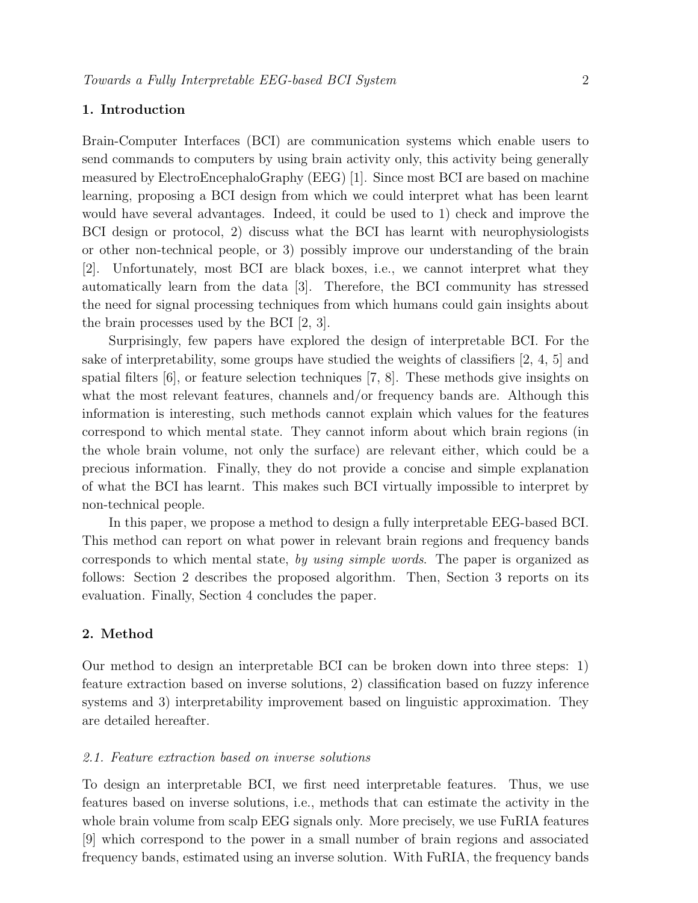# 1. Introduction

Brain-Computer Interfaces (BCI) are communication systems which enable users to send commands to computers by using brain activity only, this activity being generally measured by ElectroEncephaloGraphy (EEG) [1]. Since most BCI are based on machine learning, proposing a BCI design from which we could interpret what has been learnt would have several advantages. Indeed, it could be used to 1) check and improve the BCI design or protocol, 2) discuss what the BCI has learnt with neurophysiologists or other non-technical people, or 3) possibly improve our understanding of the brain [2]. Unfortunately, most BCI are black boxes, i.e., we cannot interpret what they automatically learn from the data [3]. Therefore, the BCI community has stressed the need for signal processing techniques from which humans could gain insights about the brain processes used by the BCI [2, 3].

Surprisingly, few papers have explored the design of interpretable BCI. For the sake of interpretability, some groups have studied the weights of classifiers [2, 4, 5] and spatial filters [6], or feature selection techniques [7, 8]. These methods give insights on what the most relevant features, channels and/or frequency bands are. Although this information is interesting, such methods cannot explain which values for the features correspond to which mental state. They cannot inform about which brain regions (in the whole brain volume, not only the surface) are relevant either, which could be a precious information. Finally, they do not provide a concise and simple explanation of what the BCI has learnt. This makes such BCI virtually impossible to interpret by non-technical people.

In this paper, we propose a method to design a fully interpretable EEG-based BCI. This method can report on what power in relevant brain regions and frequency bands corresponds to which mental state, by using simple words. The paper is organized as follows: Section 2 describes the proposed algorithm. Then, Section 3 reports on its evaluation. Finally, Section 4 concludes the paper.

# 2. Method

Our method to design an interpretable BCI can be broken down into three steps: 1) feature extraction based on inverse solutions, 2) classification based on fuzzy inference systems and 3) interpretability improvement based on linguistic approximation. They are detailed hereafter.

### 2.1. Feature extraction based on inverse solutions

To design an interpretable BCI, we first need interpretable features. Thus, we use features based on inverse solutions, i.e., methods that can estimate the activity in the whole brain volume from scalp EEG signals only. More precisely, we use FuRIA features [9] which correspond to the power in a small number of brain regions and associated frequency bands, estimated using an inverse solution. With FuRIA, the frequency bands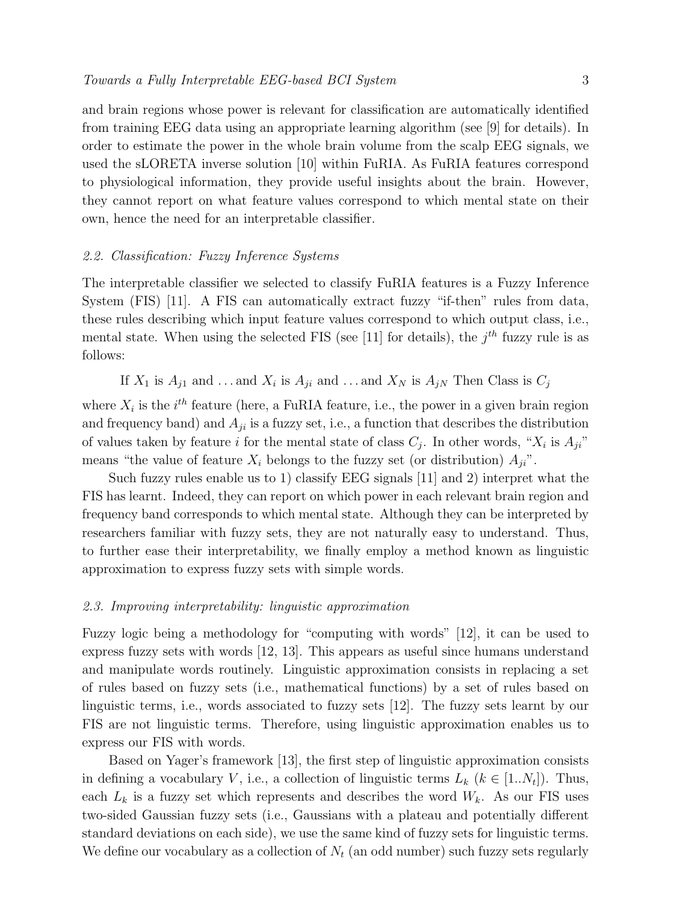and brain regions whose power is relevant for classification are automatically identified from training EEG data using an appropriate learning algorithm (see [9] for details). In order to estimate the power in the whole brain volume from the scalp EEG signals, we used the sLORETA inverse solution [10] within FuRIA. As FuRIA features correspond to physiological information, they provide useful insights about the brain. However, they cannot report on what feature values correspond to which mental state on their own, hence the need for an interpretable classifier.

### 2.2. Classification: Fuzzy Inference Systems

The interpretable classifier we selected to classify FuRIA features is a Fuzzy Inference System (FIS) [11]. A FIS can automatically extract fuzzy "if-then" rules from data, these rules describing which input feature values correspond to which output class, i.e., mental state. When using the selected FIS (see [11] for details), the  $j<sup>th</sup>$  fuzzy rule is as follows:

If 
$$
X_1
$$
 is  $A_{j1}$  and ... and  $X_i$  is  $A_{ji}$  and ... and  $X_N$  is  $A_{jN}$  Then Class is  $C_j$ 

where  $X_i$  is the  $i<sup>th</sup>$  feature (here, a FuRIA feature, i.e., the power in a given brain region and frequency band) and  $A_{ji}$  is a fuzzy set, i.e., a function that describes the distribution of values taken by feature *i* for the mental state of class  $C_j$ . In other words, " $X_i$  is  $A_{ji}$ " means "the value of feature  $X_i$  belongs to the fuzzy set (or distribution)  $A_{ii}$ ".

Such fuzzy rules enable us to 1) classify EEG signals [11] and 2) interpret what the FIS has learnt. Indeed, they can report on which power in each relevant brain region and frequency band corresponds to which mental state. Although they can be interpreted by researchers familiar with fuzzy sets, they are not naturally easy to understand. Thus, to further ease their interpretability, we finally employ a method known as linguistic approximation to express fuzzy sets with simple words.

#### 2.3. Improving interpretability: linguistic approximation

Fuzzy logic being a methodology for "computing with words" [12], it can be used to express fuzzy sets with words [12, 13]. This appears as useful since humans understand and manipulate words routinely. Linguistic approximation consists in replacing a set of rules based on fuzzy sets (i.e., mathematical functions) by a set of rules based on linguistic terms, i.e., words associated to fuzzy sets [12]. The fuzzy sets learnt by our FIS are not linguistic terms. Therefore, using linguistic approximation enables us to express our FIS with words.

Based on Yager's framework [13], the first step of linguistic approximation consists in defining a vocabulary V, i.e., a collection of linguistic terms  $L_k$   $(k \in [1..N_t])$ . Thus, each  $L_k$  is a fuzzy set which represents and describes the word  $W_k$ . As our FIS uses two-sided Gaussian fuzzy sets (i.e., Gaussians with a plateau and potentially different standard deviations on each side), we use the same kind of fuzzy sets for linguistic terms. We define our vocabulary as a collection of  $N_t$  (an odd number) such fuzzy sets regularly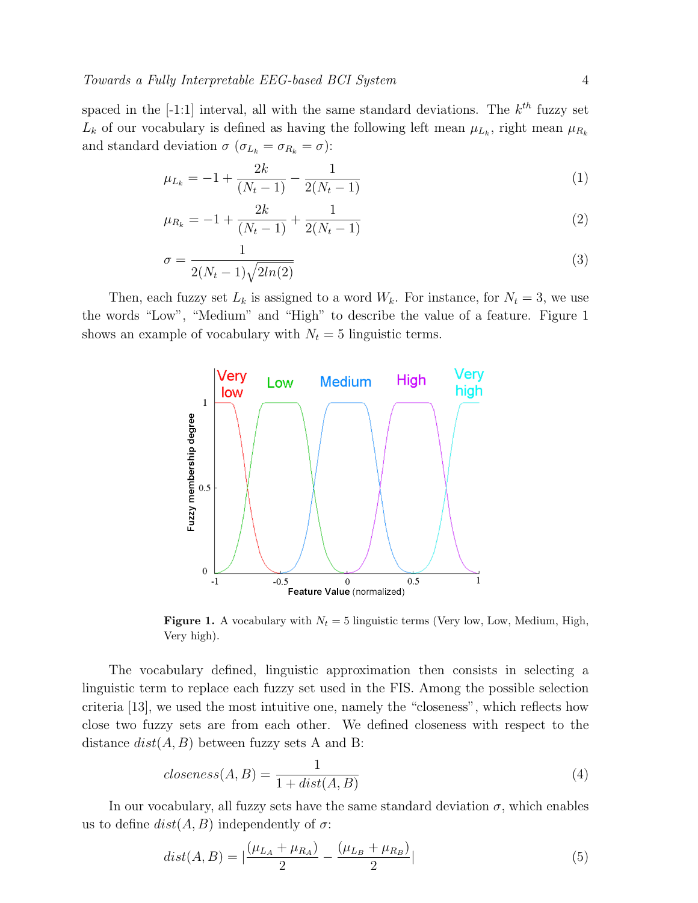spaced in the  $[-1:1]$  interval, all with the same standard deviations. The  $k^{th}$  fuzzy set  $L_k$  of our vocabulary is defined as having the following left mean  $\mu_{L_k}$ , right mean  $\mu_{R_k}$ and standard deviation  $\sigma$  ( $\sigma_{L_k} = \sigma_{R_k} = \sigma$ ):

$$
\mu_{L_k} = -1 + \frac{2k}{(N_t - 1)} - \frac{1}{2(N_t - 1)}\tag{1}
$$

$$
\mu_{R_k} = -1 + \frac{2k}{(N_t - 1)} + \frac{1}{2(N_t - 1)}\tag{2}
$$

$$
\sigma = \frac{1}{2(N_t - 1)\sqrt{2ln(2)}}\tag{3}
$$

Then, each fuzzy set  $L_k$  is assigned to a word  $W_k$ . For instance, for  $N_t = 3$ , we use the words "Low", "Medium" and "High" to describe the value of a feature. Figure 1 shows an example of vocabulary with  $N_t = 5$  linguistic terms.



**Figure 1.** A vocabulary with  $N_t = 5$  linguistic terms (Very low, Low, Medium, High, Very high).

The vocabulary defined, linguistic approximation then consists in selecting a linguistic term to replace each fuzzy set used in the FIS. Among the possible selection criteria [13], we used the most intuitive one, namely the "closeness", which reflects how close two fuzzy sets are from each other. We defined closeness with respect to the distance  $dist(A, B)$  between fuzzy sets A and B:

$$
closeness(A, B) = \frac{1}{1 + dist(A, B)}
$$
\n<sup>(4)</sup>

In our vocabulary, all fuzzy sets have the same standard deviation  $\sigma$ , which enables us to define  $dist(A, B)$  independently of  $\sigma$ :

$$
dist(A, B) = \left| \frac{(\mu_{L_A} + \mu_{R_A})}{2} - \frac{(\mu_{L_B} + \mu_{R_B})}{2} \right|
$$
\n(5)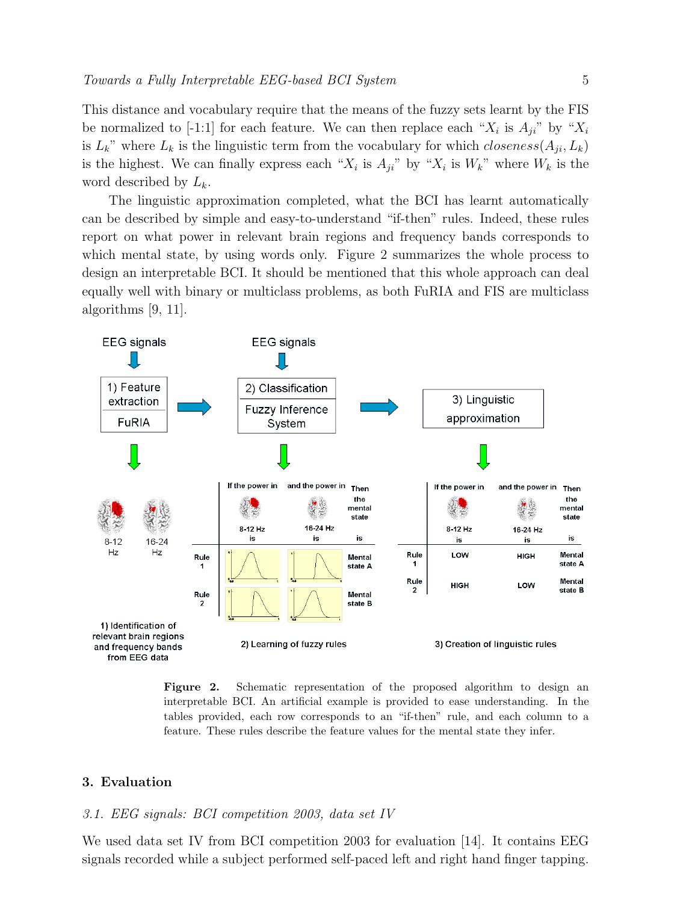This distance and vocabulary require that the means of the fuzzy sets learnt by the FIS be normalized to [-1:1] for each feature. We can then replace each " $X_i$  is  $A_{ji}$ " by " $X_i$ is  $L_k$ " where  $L_k$  is the linguistic term from the vocabulary for which *closeness*( $A_{ji}, L_k$ ) is the highest. We can finally express each " $X_i$  is  $A_{ji}$ " by " $X_i$  is  $W_k$ " where  $W_k$  is the word described by  $L_k$ .

The linguistic approximation completed, what the BCI has learnt automatically can be described by simple and easy-to-understand "if-then" rules. Indeed, these rules report on what power in relevant brain regions and frequency bands corresponds to which mental state, by using words only. Figure 2 summarizes the whole process to design an interpretable BCI. It should be mentioned that this whole approach can deal equally well with binary or multiclass problems, as both FuRIA and FIS are multiclass algorithms [9, 11].



Figure 2. Schematic representation of the proposed algorithm to design an interpretable BCI. An artificial example is provided to ease understanding. In the tables provided, each row corresponds to an "if-then" rule, and each column to a feature. These rules describe the feature values for the mental state they infer.

# 3. Evaluation

# 3.1. EEG signals: BCI competition 2003, data set IV

We used data set IV from BCI competition 2003 for evaluation [14]. It contains EEG signals recorded while a subject performed self-paced left and right hand finger tapping.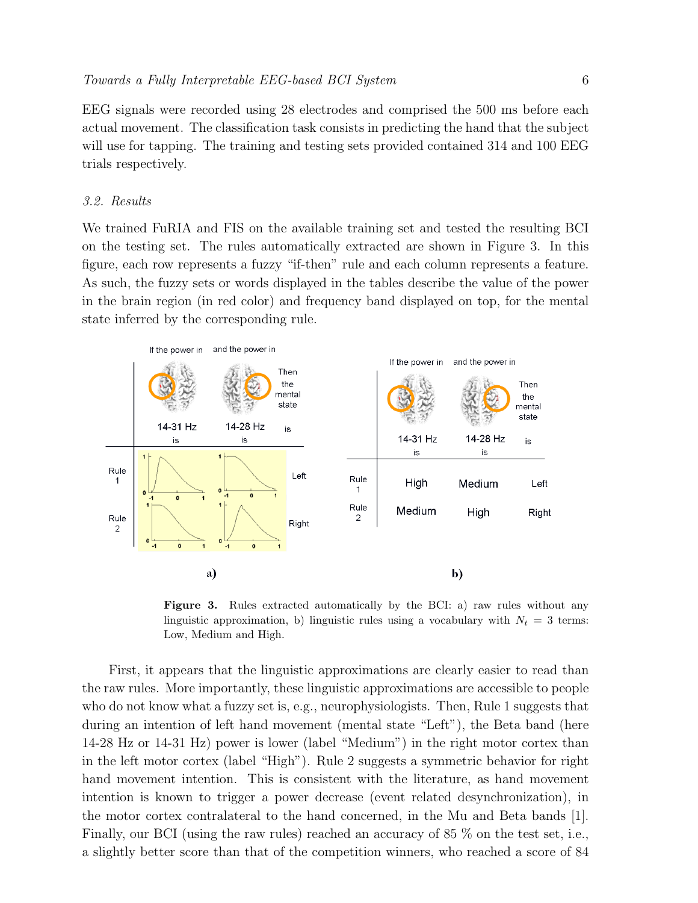EEG signals were recorded using 28 electrodes and comprised the 500 ms before each actual movement. The classification task consists in predicting the hand that the subject will use for tapping. The training and testing sets provided contained 314 and 100 EEG trials respectively.

### 3.2. Results

We trained FuRIA and FIS on the available training set and tested the resulting BCI on the testing set. The rules automatically extracted are shown in Figure 3. In this figure, each row represents a fuzzy "if-then" rule and each column represents a feature. As such, the fuzzy sets or words displayed in the tables describe the value of the power in the brain region (in red color) and frequency band displayed on top, for the mental state inferred by the corresponding rule.



Figure 3. Rules extracted automatically by the BCI: a) raw rules without any linguistic approximation, b) linguistic rules using a vocabulary with  $N_t = 3$  terms: Low, Medium and High.

First, it appears that the linguistic approximations are clearly easier to read than the raw rules. More importantly, these linguistic approximations are accessible to people who do not know what a fuzzy set is, e.g., neurophysiologists. Then, Rule 1 suggests that during an intention of left hand movement (mental state "Left"), the Beta band (here 14-28 Hz or 14-31 Hz) power is lower (label "Medium") in the right motor cortex than in the left motor cortex (label "High"). Rule 2 suggests a symmetric behavior for right hand movement intention. This is consistent with the literature, as hand movement intention is known to trigger a power decrease (event related desynchronization), in the motor cortex contralateral to the hand concerned, in the Mu and Beta bands [1]. Finally, our BCI (using the raw rules) reached an accuracy of 85 % on the test set, i.e., a slightly better score than that of the competition winners, who reached a score of 84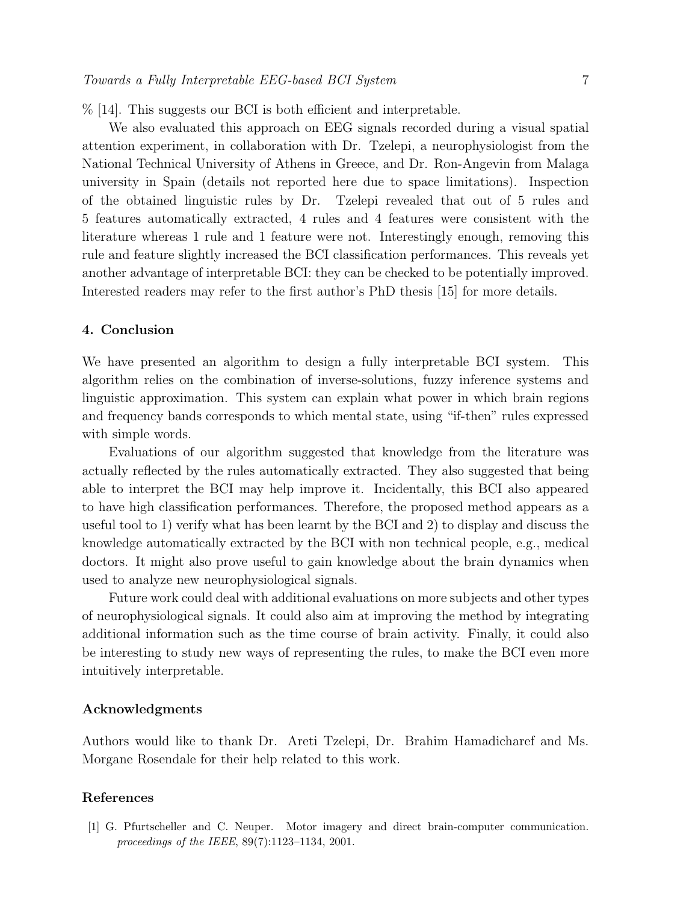% [14]. This suggests our BCI is both efficient and interpretable.

We also evaluated this approach on EEG signals recorded during a visual spatial attention experiment, in collaboration with Dr. Tzelepi, a neurophysiologist from the National Technical University of Athens in Greece, and Dr. Ron-Angevin from Malaga university in Spain (details not reported here due to space limitations). Inspection of the obtained linguistic rules by Dr. Tzelepi revealed that out of 5 rules and 5 features automatically extracted, 4 rules and 4 features were consistent with the literature whereas 1 rule and 1 feature were not. Interestingly enough, removing this rule and feature slightly increased the BCI classification performances. This reveals yet another advantage of interpretable BCI: they can be checked to be potentially improved. Interested readers may refer to the first author's PhD thesis [15] for more details.

# 4. Conclusion

We have presented an algorithm to design a fully interpretable BCI system. This algorithm relies on the combination of inverse-solutions, fuzzy inference systems and linguistic approximation. This system can explain what power in which brain regions and frequency bands corresponds to which mental state, using "if-then" rules expressed with simple words.

Evaluations of our algorithm suggested that knowledge from the literature was actually reflected by the rules automatically extracted. They also suggested that being able to interpret the BCI may help improve it. Incidentally, this BCI also appeared to have high classification performances. Therefore, the proposed method appears as a useful tool to 1) verify what has been learnt by the BCI and 2) to display and discuss the knowledge automatically extracted by the BCI with non technical people, e.g., medical doctors. It might also prove useful to gain knowledge about the brain dynamics when used to analyze new neurophysiological signals.

Future work could deal with additional evaluations on more subjects and other types of neurophysiological signals. It could also aim at improving the method by integrating additional information such as the time course of brain activity. Finally, it could also be interesting to study new ways of representing the rules, to make the BCI even more intuitively interpretable.

# Acknowledgments

Authors would like to thank Dr. Areti Tzelepi, Dr. Brahim Hamadicharef and Ms. Morgane Rosendale for their help related to this work.

# References

[1] G. Pfurtscheller and C. Neuper. Motor imagery and direct brain-computer communication. proceedings of the IEEE, 89(7):1123–1134, 2001.